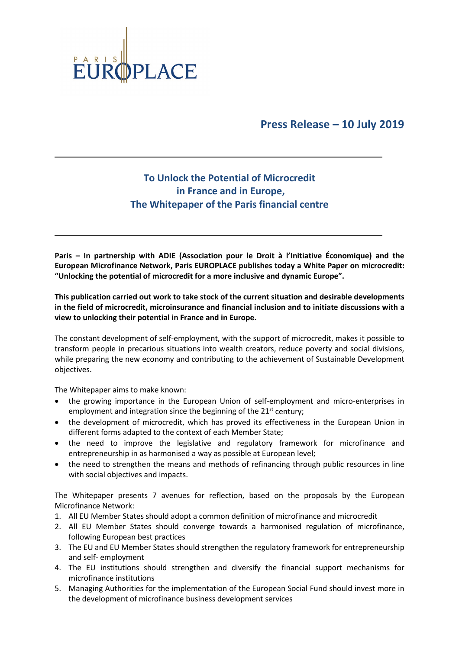

## **Press Release – 10 July 2019**

## **To Unlock the Potential of Microcredit in France and in Europe, The Whitepaper of the Paris financial centre**

**Paris – In partnership with ADIE (Association pour le Droit à l'Initiative Économique) and the European Microfinance Network, Paris EUROPLACE publishes today a White Paper on microcredit: "Unlocking the potential of microcredit for a more inclusive and dynamic Europe".** 

**This publication carried out work to take stock of the current situation and desirable developments in the field of microcredit, microinsurance and financial inclusion and to initiate discussions with a view to unlocking their potential in France and in Europe.** 

The constant development of self-employment, with the support of microcredit, makes it possible to transform people in precarious situations into wealth creators, reduce poverty and social divisions, while preparing the new economy and contributing to the achievement of Sustainable Development objectives.

The Whitepaper aims to make known:

- the growing importance in the European Union of self-employment and micro-enterprises in employment and integration since the beginning of the  $21<sup>st</sup>$  century;
- the development of microcredit, which has proved its effectiveness in the European Union in different forms adapted to the context of each Member State;
- the need to improve the legislative and regulatory framework for microfinance and entrepreneurship in as harmonised a way as possible at European level;
- the need to strengthen the means and methods of refinancing through public resources in line with social objectives and impacts.

The Whitepaper presents 7 avenues for reflection, based on the proposals by the European Microfinance Network:

- 1. All EU Member States should adopt a common definition of microfinance and microcredit
- 2. All EU Member States should converge towards a harmonised regulation of microfinance, following European best practices
- 3. The EU and EU Member States should strengthen the regulatory framework for entrepreneurship and self- employment
- 4. The EU institutions should strengthen and diversify the financial support mechanisms for microfinance institutions
- 5. Managing Authorities for the implementation of the European Social Fund should invest more in the development of microfinance business development services